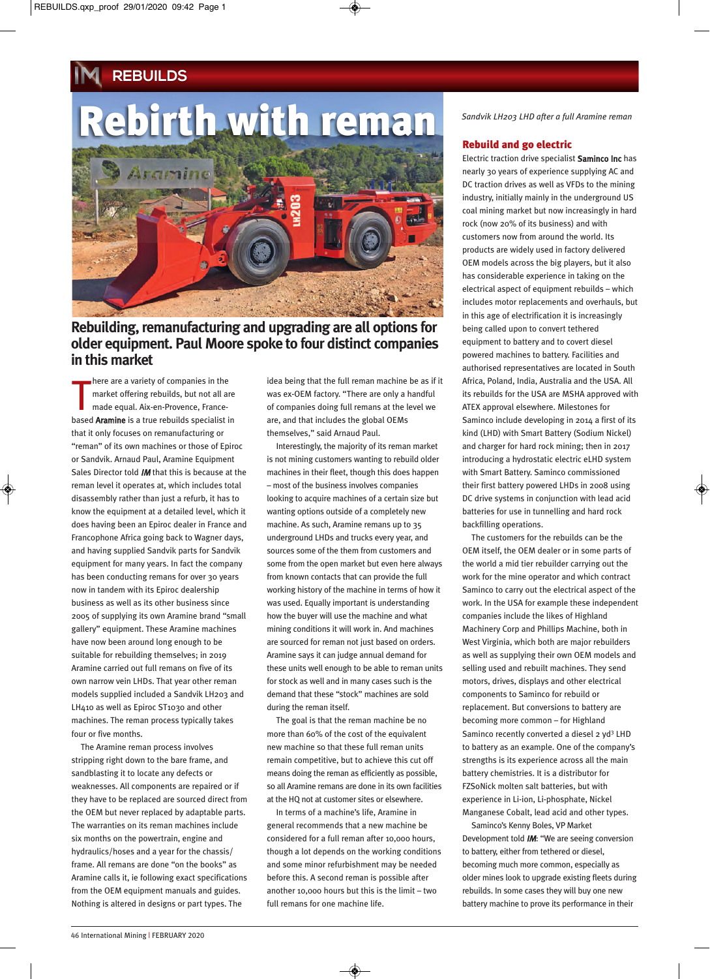# **REBUILDS**

# Rebirth with reman



# **Rebuilding, remanufacturing and upgrading are all options for older equipment. Paul Moore spoke to four distinct companies in this market**

here are a variety of companies in the<br>
market offering rebuilds, but not all are<br>
made equal. Aix-en-Provence, France-<br>
based **Aramine** is a true rebuilds specialist in here are a variety of companies in the market offering rebuilds, but not all are made equal. Aix-en-Provence, Francethat it only focuses on remanufacturing or "reman" of its own machines or those of Epiroc or Sandvik. Arnaud Paul, Aramine Equipment Sales Director told *IM* that this is because at the reman level it operates at, which includes total disassembly rather than just a refurb, it has to know the equipment at a detailed level, which it does having been an Epiroc dealer in France and Francophone Africa going back to Wagner days, and having supplied Sandvik parts for Sandvik equipment for many years. In fact the company has been conducting remans for over 30 years now in tandem with its Epiroc dealership business as well as its other business since 2005 of supplying its own Aramine brand "small gallery" equipment. These Aramine machines have now been around long enough to be suitable for rebuilding themselves; in 2019 Aramine carried out full remans on five of its own narrow vein LHDs. That year other reman models supplied included a Sandvik LH203 and LH410 as well as Epiroc ST1030 and other machines. The reman process typically takes four or five months.

The Aramine reman process involves stripping right down to the bare frame, and sandblasting it to locate any defects or weaknesses. All components are repaired or if they have to be replaced are sourced direct from the OEM but never replaced by adaptable parts. The warranties on its reman machines include six months on the powertrain, engine and hydraulics/hoses and a year for the chassis/ frame. All remans are done "on the books" as Aramine calls it, ie following exact specifications from the OEM equipment manuals and guides. Nothing is altered in designs or part types. The

idea being that the full reman machine be as if it was ex-OEM factory. "There are only a handful of companies doing full remans at the level we are, and that includes the global OEMs themselves," said Arnaud Paul.

Interestingly, the majority of its reman market is not mining customers wanting to rebuild older machines in their fleet, though this does happen – most of the business involves companies looking to acquire machines of a certain size but wanting options outside of a completely new machine. As such, Aramine remans up to 35 underground LHDs and trucks every year, and sources some of the them from customers and some from the open market but even here always from known contacts that can provide the full working history of the machine in terms of how it was used. Equally important is understanding how the buyer will use the machine and what mining conditions it will work in. And machines are sourced for reman not just based on orders. Aramine says it can judge annual demand for these units well enough to be able to reman units for stock as well and in many cases such is the demand that these "stock" machines are sold during the reman itself.

The goal is that the reman machine be no more than 60% of the cost of the equivalent new machine so that these full reman units remain competitive, but to achieve this cut off means doing the reman as efficiently as possible, so all Aramine remans are done in its own facilities at the HQ not at customer sites or elsewhere.

In terms of a machine's life, Aramine in general recommends that a new machine be considered for a full reman after 10,000 hours, though a lot depends on the working conditions and some minor refurbishment may be needed before this. A second reman is possible after another 10,000 hours but this is the limit – two full remans for one machine life.

*Sandvik LH203 LHD after a full Aramine reman*

# Rebuild and go electric

Electric traction drive specialist Saminco Inc has nearly 30 years of experience supplying AC and DC traction drives as well as VFDs to the mining industry, initially mainly in the underground US coal mining market but now increasingly in hard rock (now 20% of its business) and with customers now from around the world. Its products are widely used in factory delivered OEM models across the big players, but it also has considerable experience in taking on the electrical aspect of equipment rebuilds – which includes motor replacements and overhauls, but in this age of electrification it is increasingly being called upon to convert tethered equipment to battery and to covert diesel powered machines to battery. Facilities and authorised representatives are located in South Africa, Poland, India, Australia and the USA. All its rebuilds for the USA are MSHA approved with ATEX approval elsewhere. Milestones for Saminco include developing in 2014 a first of its kind (LHD) with Smart Battery (Sodium Nickel) and charger for hard rock mining; then in 2017 introducing a hydrostatic electric eLHD system with Smart Battery. Saminco commissioned their first battery powered LHDs in 2008 using DC drive systems in conjunction with lead acid batteries for use in tunnelling and hard rock backfilling operations.

The customers for the rebuilds can be the OEM itself, the OEM dealer or in some parts of the world a mid tier rebuilder carrying out the work for the mine operator and which contract Saminco to carry out the electrical aspect of the work. In the USA for example these independent companies include the likes of Highland Machinery Corp and Phillips Machine, both in West Virginia, which both are major rebuilders as well as supplying their own OEM models and selling used and rebuilt machines. They send motors, drives, displays and other electrical components to Saminco for rebuild or replacement. But conversions to battery are becoming more common – for Highland Saminco recently converted a diesel 2 yd<sup>3</sup> LHD to battery as an example. One of the company's strengths is its experience across all the main battery chemistries. It is a distributor for FZSoNick molten salt batteries, but with experience in Li-ion, Li-phosphate, Nickel Manganese Cobalt, lead acid and other types.

Saminco's Kenny Boles, VP Market Development told IM: "We are seeing conversion to battery, either from tethered or diesel, becoming much more common, especially as older mines look to upgrade existing fleets during rebuilds. In some cases they will buy one new battery machine to prove its performance in their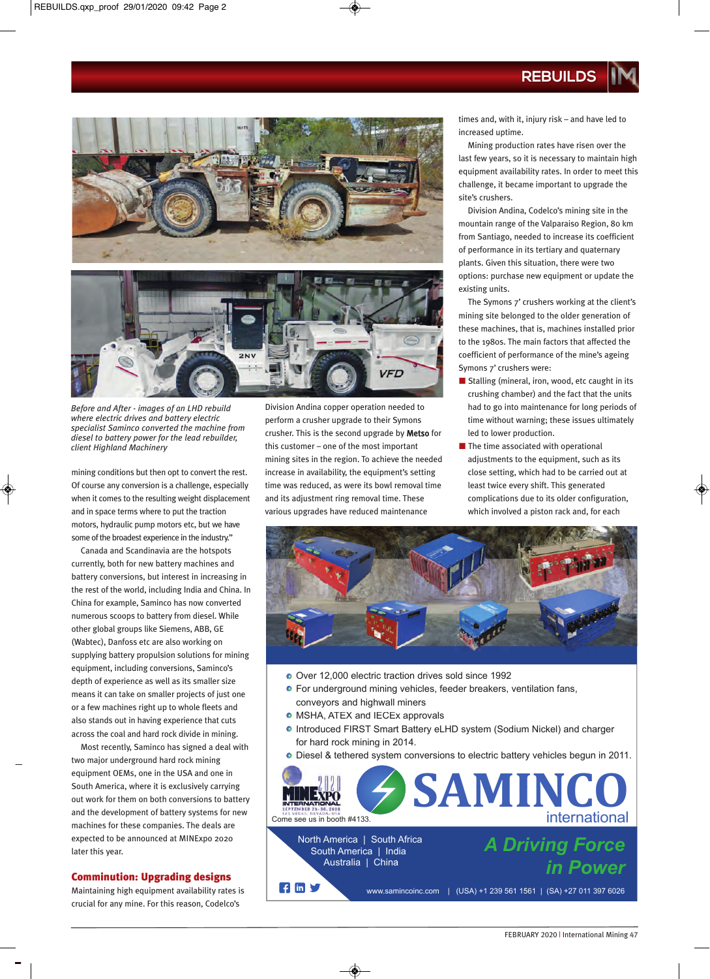**REBUILDS**



*Before and After - images of an LHD rebuild where electric drives and battery electric specialist Saminco converted the machine from diesel to battery power for the lead rebuilder, client Highland Machinery*

mining conditions but then opt to convert the rest. Of course any conversion is a challenge, especially when it comes to the resulting weight displacement and in space terms where to put the traction motors, hydraulic pump motors etc, but we have some of the broadest experience in the industry."

Canada and Scandinavia are the hotspots currently, both for new battery machines and battery conversions, but interest in increasing in the rest of the world, including India and China. In China for example, Saminco has now converted numerous scoops to battery from diesel. While other global groups like Siemens, ABB, GE (Wabtec), Danfoss etc are also working on supplying battery propulsion solutions for mining equipment, including conversions, Saminco's depth of experience as well as its smaller size means it can take on smaller projects of just one or a few machines right up to whole fleets and also stands out in having experience that cuts across the coal and hard rock divide in mining.

Most recently, Saminco has signed a deal with two major underground hard rock mining equipment OEMs, one in the USA and one in South America, where it is exclusively carrying out work for them on both conversions to battery and the development of battery systems for new machines for these companies. The deals are expected to be announced at MINExpo 2020 later this year.

# Comminution: Upgrading designs

Maintaining high equipment availability rates is crucial for any mine. For this reason, Codelco's

Division Andina copper operation needed to perform a crusher upgrade to their Symons crusher. This is the second upgrade by Metso for this customer – one of the most important mining sites in the region. To achieve the needed increase in availability, the equipment's setting time was reduced, as were its bowl removal time and its adjustment ring removal time. These various upgrades have reduced maintenance

times and, with it, injury risk – and have led to increased uptime.

Mining production rates have risen over the last few years, so it is necessary to maintain high equipment availability rates. In order to meet this challenge, it became important to upgrade the site's crushers.

Division Andina, Codelco's mining site in the mountain range of the Valparaiso Region, 80 km from Santiago, needed to increase its coefficient of performance in its tertiary and quaternary plants. Given this situation, there were two options: purchase new equipment or update the existing units.

The Symons 7' crushers working at the client's mining site belonged to the older generation of these machines, that is, machines installed prior to the 1980s. The main factors that affected the coefficient of performance of the mine's ageing Symons 7' crushers were:

- $\blacksquare$  Stalling (mineral, iron, wood, etc caught in its crushing chamber) and the fact that the units had to go into maintenance for long periods of time without warning; these issues ultimately led to lower production.
- $\blacksquare$  The time associated with operational adjustments to the equipment, such as its close setting, which had to be carried out at least twice every shift. This generated complications due to its older configuration, which involved a piston rack and, for each



- Over 12,000 electric traction drives sold since 1992
- For underground mining vehicles, feeder breakers, ventilation fans, conveyors and highwall miners
- MSHA, ATEX and IECEx approvals
- Introduced FIRST Smart Battery eLHD system (Sodium Nickel) and charger for hard rock mining in 2 2014.

Diesel & tethered system conversions to electric battery vehicles begun in 2011.